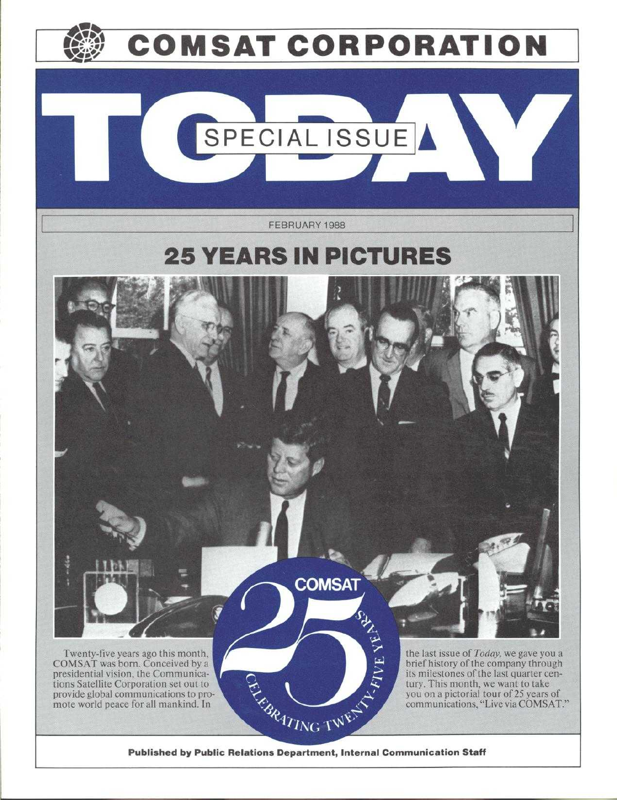

Published by Public Relations Department, Internal Communication Staff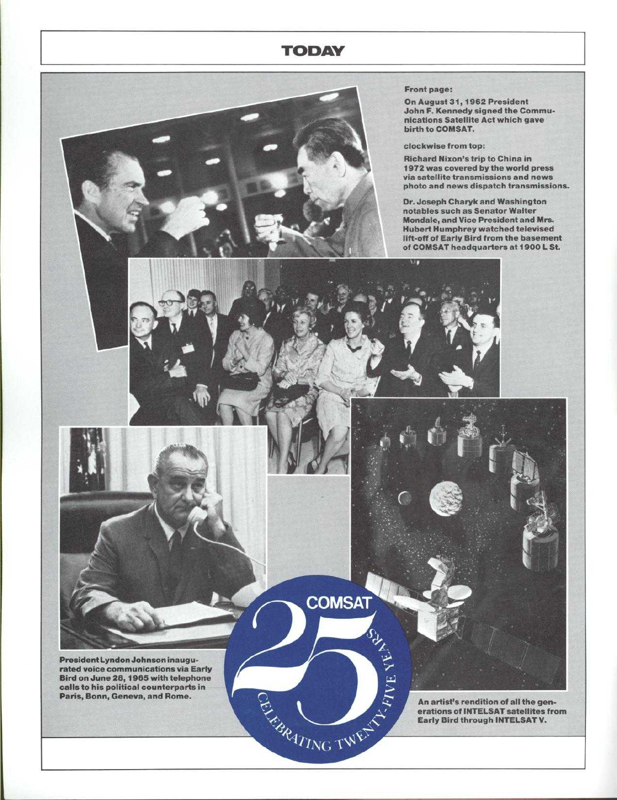## **TODAY**

**COMSAT** 

**CANADY AND AND REAL PROPERTY** 

TV HVF.

## **Front page:**

**On August 31, 1962 President** John **F. Kennedy signed the Communications Satellite Act which gave** birth to COMSAT.

**clockwise from top:**

**Richard Nixon** '**s trip to China in 1972 was covered by the world press via satellite transmissions and news photo and news dispatch transmissions.**

**Dr. Joseph** Charyk **and Washington** notables such as Senator Walter **Mondale**, **and Vice President and Mrs.** Hubert Humphrey watched televised **lift-off of Early Bird from the basement** of COMSAT headquarters at 1900 L St.

President Lyndon Johnson **inaugu**rated voice communications via Early Bird on June 28, 1965 with telephone calls to his political counterparts in Paris, Bonn, Geneva, and Rome.

**An artist**'**s rendition of all the generations of** INTELSAT **satellites from Early Bird through** INTELSAT V.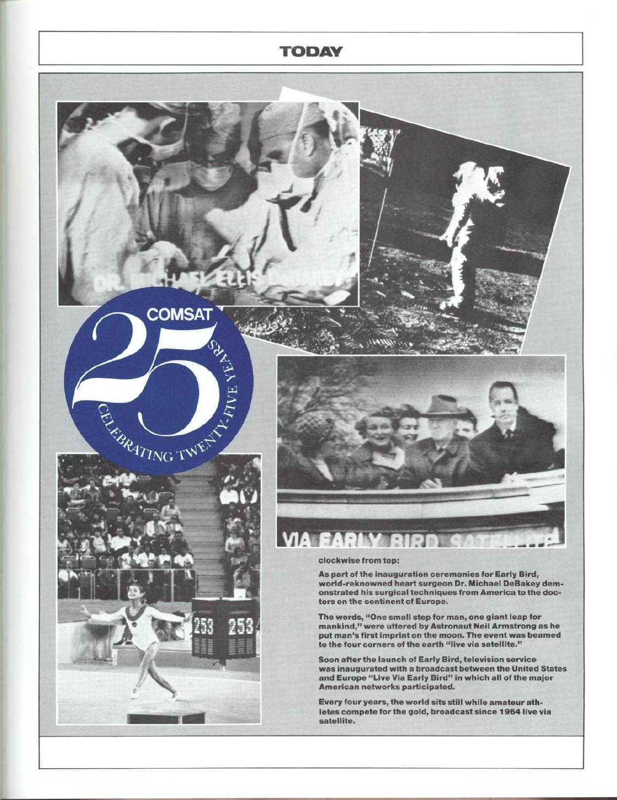## **TODAY**